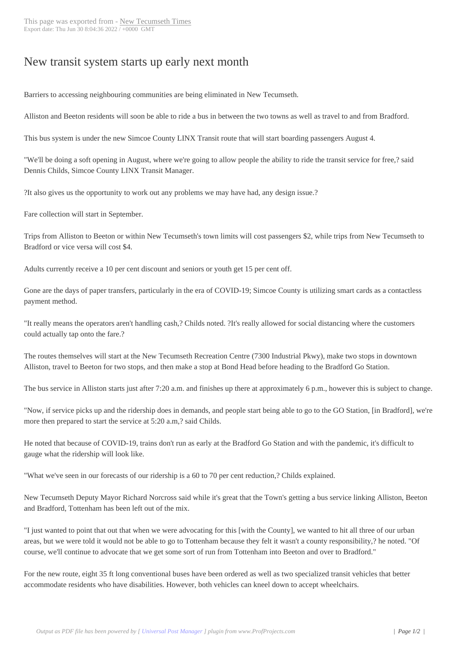## New transit system [starts up early](https://newtectimes.com/?p=24772) next month

Barriers to accessing neighbouring communities are being eliminated in New Tecumseth.

Alliston and Beeton residents will soon be able to ride a bus in between the two towns as well as travel to and from Bradford.

This bus system is under the new Simcoe County LINX Transit route that will start boarding passengers August 4.

"We'll be doing a soft opening in August, where we're going to allow people the ability to ride the transit service for free,? said Dennis Childs, Simcoe County LINX Transit Manager.

?It also gives us the opportunity to work out any problems we may have had, any design issue.?

Fare collection will start in September.

Trips from Alliston to Beeton or within New Tecumseth's town limits will cost passengers \$2, while trips from New Tecumseth to Bradford or vice versa will cost \$4.

Adults currently receive a 10 per cent discount and seniors or youth get 15 per cent off.

Gone are the days of paper transfers, particularly in the era of COVID-19; Simcoe County is utilizing smart cards as a contactless payment method.

"It really means the operators aren't handling cash,? Childs noted. ?It's really allowed for social distancing where the customers could actually tap onto the fare.?

The routes themselves will start at the New Tecumseth Recreation Centre (7300 Industrial Pkwy), make two stops in downtown Alliston, travel to Beeton for two stops, and then make a stop at Bond Head before heading to the Bradford Go Station.

The bus service in Alliston starts just after 7:20 a.m. and finishes up there at approximately 6 p.m., however this is subject to change.

"Now, if service picks up and the ridership does in demands, and people start being able to go to the GO Station, [in Bradford], we're more then prepared to start the service at 5:20 a.m,? said Childs.

He noted that because of COVID-19, trains don't run as early at the Bradford Go Station and with the pandemic, it's difficult to gauge what the ridership will look like.

"What we've seen in our forecasts of our ridership is a 60 to 70 per cent reduction,? Childs explained.

New Tecumseth Deputy Mayor Richard Norcross said while it's great that the Town's getting a bus service linking Alliston, Beeton and Bradford, Tottenham has been left out of the mix.

"I just wanted to point that out that when we were advocating for this [with the County], we wanted to hit all three of our urban areas, but we were told it would not be able to go to Tottenham because they felt it wasn't a county responsibility,? he noted. "Of course, we'll continue to advocate that we get some sort of run from Tottenham into Beeton and over to Bradford."

For the new route, eight 35 ft long conventional buses have been ordered as well as two specialized transit vehicles that better accommodate residents who have disabilities. However, both vehicles can kneel down to accept wheelchairs.